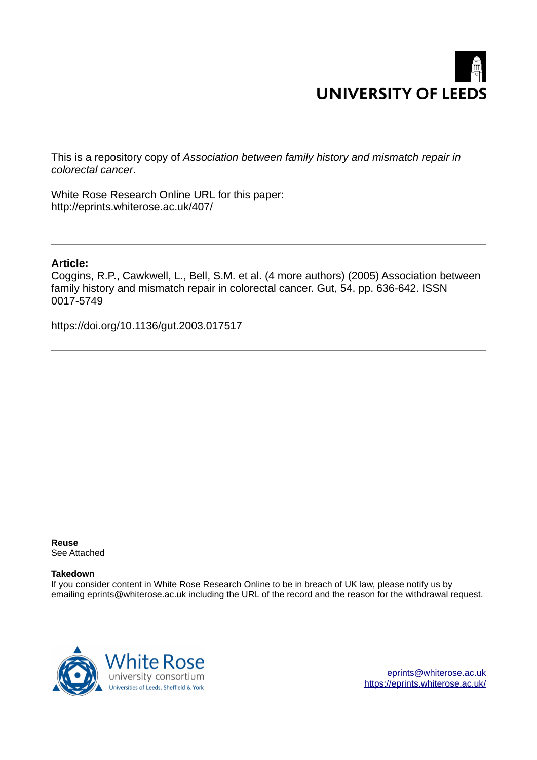

This is a repository copy of *Association between family history and mismatch repair in colorectal cancer*.

White Rose Research Online URL for this paper: http://eprints.whiterose.ac.uk/407/

## **Article:**

Coggins, R.P., Cawkwell, L., Bell, S.M. et al. (4 more authors) (2005) Association between family history and mismatch repair in colorectal cancer. Gut, 54. pp. 636-642. ISSN 0017-5749

https://doi.org/10.1136/gut.2003.017517

**Reuse**  See Attached

## **Takedown**

If you consider content in White Rose Research Online to be in breach of UK law, please notify us by emailing eprints@whiterose.ac.uk including the URL of the record and the reason for the withdrawal request.



[eprints@whiterose.ac.uk](mailto:eprints@whiterose.ac.uk) <https://eprints.whiterose.ac.uk/>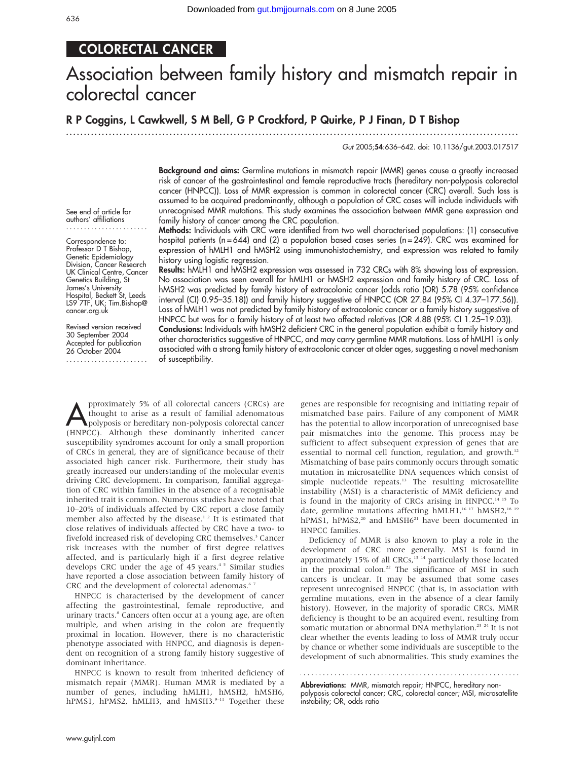## COLORECTAL CANCER

# Association between family history and mismatch repair in colorectal cancer

## R P Coggins, L Cawkwell, S M Bell, G P Crockford, P Quirke, P J Finan, D T Bishop

...............................................................................................................................

Gut 2005;54:636–642. doi: 10.1136/gut.2003.017517

Background and aims: Germline mutations in mismatch repair (MMR) genes cause a greatly increased risk of cancer of the gastrointestinal and female reproductive tracts (hereditary non-polyposis colorectal cancer (HNPCC)). Loss of MMR expression is common in colorectal cancer (CRC) overall. Such loss is assumed to be acquired predominantly, although a population of CRC cases will include individuals with unrecognised MMR mutations. This study examines the association between MMR gene expression and family history of cancer among the CRC population.

Methods: Individuals with CRC were identified from two well characterised populations: (1) consecutive hospital patients (n=644) and (2) a population based cases series (n=249). CRC was examined for expression of hMLH1 and hMSH2 using immunohistochemistry, and expression was related to family history using logistic regression.

Results: hMLH1 and hMSH2 expression was assessed in 732 CRCs with 8% showing loss of expression. No association was seen overall for hMLH1 or hMSH2 expression and family history of CRC. Loss of hMSH2 was predicted by family history of extracolonic cancer (odds ratio (OR) 5.78 (95% confidence interval (CI) 0.95–35.18)) and family history suggestive of HNPCC (OR 27.84 (95% CI 4.37–177.56)). Loss of hMLH1 was not predicted by family history of extracolonic cancer or a family history suggestive of HNPCC but was for a family history of at least two affected relatives (OR 4.88 (95% CI 1.25–19.03)). Conclusions: Individuals with hMSH2 deficient CRC in the general population exhibit a family history and other characteristics suggestive of HNPCC, and may carry germline MMR mutations. Loss of hMLH1 is only associated with a strong family history of extracolonic cancer at older ages, suggesting a novel mechanism

See end of article for authors' affiliations .......................

Correspondence to: Professor D T Bishop, Genetic Epidemiology Division, Cancer Research UK Clinical Centre, Cancer Genetics Building, St James's University Hospital, Beckett St, Leeds LS9 7TF, UK; Tim.Bishop@ cancer.org.uk

Revised version received 30 September 2004 Accepted for publication 26 October 2004

.......................

pproximately 5% of all colorectal cancers (CRCs) are<br>thought to arise as a result of familial adenomatous<br>polyposis or hereditary non-polyposis colorectal cancer<br>(HNPCC). Although these dominantly inherited cancer pproximately 5% of all colorectal cancers (CRCs) are thought to arise as a result of familial adenomatous polyposis or hereditary non-polyposis colorectal cancer susceptibility syndromes account for only a small proportion of CRCs in general, they are of significance because of their associated high cancer risk. Furthermore, their study has greatly increased our understanding of the molecular events driving CRC development. In comparison, familial aggregation of CRC within families in the absence of a recognisable inherited trait is common. Numerous studies have noted that 10–20% of individuals affected by CRC report a close family member also affected by the disease.<sup>12</sup> It is estimated that close relatives of individuals affected by CRC have a two- to fivefold increased risk of developing CRC themselves.<sup>3</sup> Cancer risk increases with the number of first degree relatives affected, and is particularly high if a first degree relative develops CRC under the age of 45 years.<sup>45</sup> Similar studies have reported a close association between family history of CRC and the development of colorectal adenomas.<sup>67</sup>

of susceptibility.

HNPCC is characterised by the development of cancer affecting the gastrointestinal, female reproductive, and urinary tracts.<sup>8</sup> Cancers often occur at a young age, are often multiple, and when arising in the colon are frequently proximal in location. However, there is no characteristic phenotype associated with HNPCC, and diagnosis is dependent on recognition of a strong family history suggestive of dominant inheritance.

HNPCC is known to result from inherited deficiency of mismatch repair (MMR). Human MMR is mediated by a number of genes, including hMLH1, hMSH2, hMSH6, hPMS1, hPMS2, hMLH3, and hMSH3.<sup>9-11</sup> Together these genes are responsible for recognising and initiating repair of mismatched base pairs. Failure of any component of MMR has the potential to allow incorporation of unrecognised base pair mismatches into the genome. This process may be sufficient to affect subsequent expression of genes that are essential to normal cell function, regulation, and growth.<sup>12</sup> Mismatching of base pairs commonly occurs through somatic mutation in microsatellite DNA sequences which consist of simple nucleotide repeats.<sup>13</sup> The resulting microsatellite instability (MSI) is a characteristic of MMR deficiency and is found in the majority of CRCs arising in HNPCC.14 15 To date, germline mutations affecting hMLH1,<sup>16 17</sup> hMSH2,<sup>18 19</sup> hPMS1, hPMS2,<sup>20</sup> and hMSH6<sup>21</sup> have been documented in HNPCC families.

Deficiency of MMR is also known to play a role in the development of CRC more generally. MSI is found in approximately 15% of all CRCs,<sup>13-14</sup> particularly those located in the proximal colon.<sup>22</sup> The significance of MSI in such cancers is unclear. It may be assumed that some cases represent unrecognised HNPCC (that is, in association with germline mutations, even in the absence of a clear family history). However, in the majority of sporadic CRCs, MMR deficiency is thought to be an acquired event, resulting from somatic mutation or abnormal DNA methylation.<sup>23</sup> <sup>24</sup> It is not clear whether the events leading to loss of MMR truly occur by chance or whether some individuals are susceptible to the development of such abnormalities. This study examines the

Abbreviations: MMR, mismatch repair; HNPCC, hereditary nonpolyposis colorectal cancer; CRC, colorectal cancer; MSI, microsatellite instability; OR, odds ratio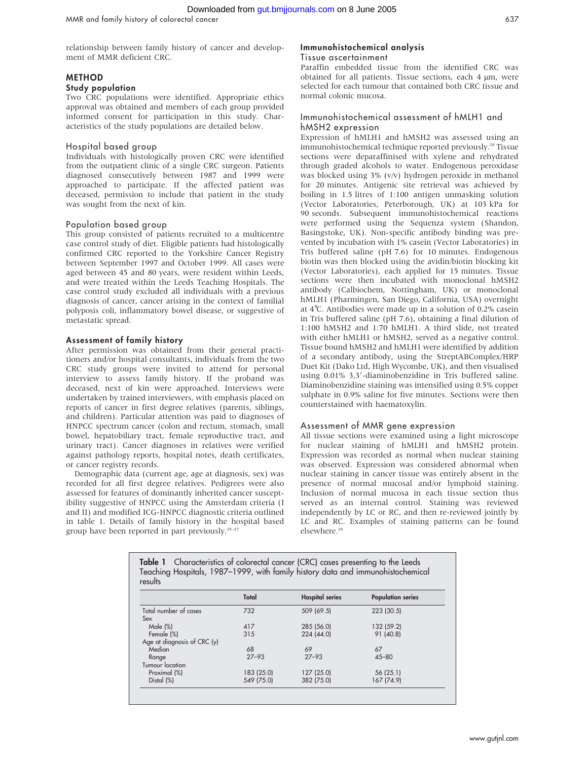relationship between family history of cancer and development of MMR deficient CRC.

## METHOD

## Study population

Two CRC populations were identified. Appropriate ethics approval was obtained and members of each group provided informed consent for participation in this study. Characteristics of the study populations are detailed below.

### Hospital based group

Individuals with histologically proven CRC were identified from the outpatient clinic of a single CRC surgeon. Patients diagnosed consecutively between 1987 and 1999 were approached to participate. If the affected patient was deceased, permission to include that patient in the study was sought from the next of kin.

### Population based group

This group consisted of patients recruited to a multicentre case control study of diet. Eligible patients had histologically confirmed CRC reported to the Yorkshire Cancer Registry between September 1997 and October 1999. All cases were aged between 45 and 80 years, were resident within Leeds, and were treated within the Leeds Teaching Hospitals. The case control study excluded all individuals with a previous diagnosis of cancer, cancer arising in the context of familial polyposis coli, inflammatory bowel disease, or suggestive of metastatic spread.

#### Assessment of family history

After permission was obtained from their general practitioners and/or hospital consultants, individuals from the two CRC study groups were invited to attend for personal interview to assess family history. If the proband was deceased, next of kin were approached. Interviews were undertaken by trained interviewers, with emphasis placed on reports of cancer in first degree relatives (parents, siblings, and children). Particular attention was paid to diagnoses of HNPCC spectrum cancer (colon and rectum, stomach, small bowel, hepatobiliary tract, female reproductive tract, and urinary tract). Cancer diagnoses in relatives were verified against pathology reports, hospital notes, death certificates, or cancer registry records.

Demographic data (current age, age at diagnosis, sex) was recorded for all first degree relatives. Pedigrees were also assessed for features of dominantly inherited cancer susceptibility suggestive of HNPCC using the Amsterdam criteria (I and II) and modified ICG-HNPCC diagnostic criteria outlined in table 1. Details of family history in the hospital based group have been reported in part previously.<sup>25-27</sup>

## Immunohistochemical analysis

## Tissue ascertainment

Paraffin embedded tissue from the identified CRC was obtained for all patients. Tissue sections, each  $4 \mu m$ , were selected for each tumour that contained both CRC tissue and normal colonic mucosa.

## Immunohistochemical assessment of hMLH1 and hMSH2 expression

Expression of hMLH1 and hMSH2 was assessed using an immunohistochemical technique reported previously.<sup>28</sup> Tissue sections were deparaffinised with xylene and rehydrated through graded alcohols to water. Endogenous peroxidase was blocked using 3% (v/v) hydrogen peroxide in methanol for 20 minutes. Antigenic site retrieval was achieved by boiling in 1.5 litres of 1:100 antigen unmasking solution (Vector Laboratories, Peterborough, UK) at 103 kPa for 90 seconds. Subsequent immunohistochemical reactions were performed using the Sequenza system (Shandon, Basingstoke, UK). Non-specific antibody binding was prevented by incubation with 1% casein (Vector Laboratories) in Tris buffered saline (pH 7.6) for 10 minutes. Endogenous biotin was then blocked using the avidin/biotin blocking kit (Vector Laboratories), each applied for 15 minutes. Tissue sections were then incubated with monoclonal hMSH2 antibody (Calbiochem, Nottingham, UK) or monoclonal hMLH1 (Pharmingen, San Diego, California, USA) overnight at 4˚C. Antibodies were made up in a solution of 0.2% casein in Tris buffered saline (pH 7.6), obtaining a final dilution of 1:100 hMSH2 and 1:70 hMLH1. A third slide, not treated with either hMLH1 or hMSH2, served as a negative control. Tissue bound hMSH2 and hMLH1 were identified by addition of a secondary antibody, using the StreptABComplex/HRP Duet Kit (Dako Ltd, High Wycombe, UK), and then visualised using 0.01% 3,3'-diaminobenzidine in Tris buffered saline. Diaminobenzidine staining was intensified using 0.5% copper sulphate in 0.9% saline for five minutes. Sections were then counterstained with haematoxylin.

## Assessment of MMR gene expression

All tissue sections were examined using a light microscope for nuclear staining of hMLH1 and hMSH2 protein. Expression was recorded as normal when nuclear staining was observed. Expression was considered abnormal when nuclear staining in cancer tissue was entirely absent in the presence of normal mucosal and/or lymphoid staining. Inclusion of normal mucosa in each tissue section thus served as an internal control. Staining was reviewed independently by LC or RC, and then re-reviewed jointly by LC and RC. Examples of staining patterns can be found elsewhere.<sup>28</sup>

|         | Table 1 Characteristics of colorectal cancer (CRC) cases presenting to the Leeds |
|---------|----------------------------------------------------------------------------------|
|         | Teaching Hospitals, 1987–1999, with family history data and immunohistochemical  |
| results |                                                                                  |

|                             | Total      | <b>Hospital series</b> | <b>Population series</b> |
|-----------------------------|------------|------------------------|--------------------------|
| Total number of cases       | 732        | 509 (69.5)             | 223 (30.5)               |
| Sex<br>Male (%)             | 417        | 285 (56.0)             | 132 (59.2)               |
| Female (%)                  | 315        | 224 (44.0)             | 91 (40.8)                |
| Age at diagnosis of CRC (y) |            |                        |                          |
| Median                      | 68         | 69                     | 67                       |
| Range                       | $27 - 93$  | $27 - 93$              | $45 - 80$                |
| Tumour location             |            |                        |                          |
| Proximal (%)                | 183 (25.0) | 127 (25.0)             | 56 (25.1)                |
| Distal (%)                  | 549 (75.0) | 382 (75.0)             | 167 (74.9)               |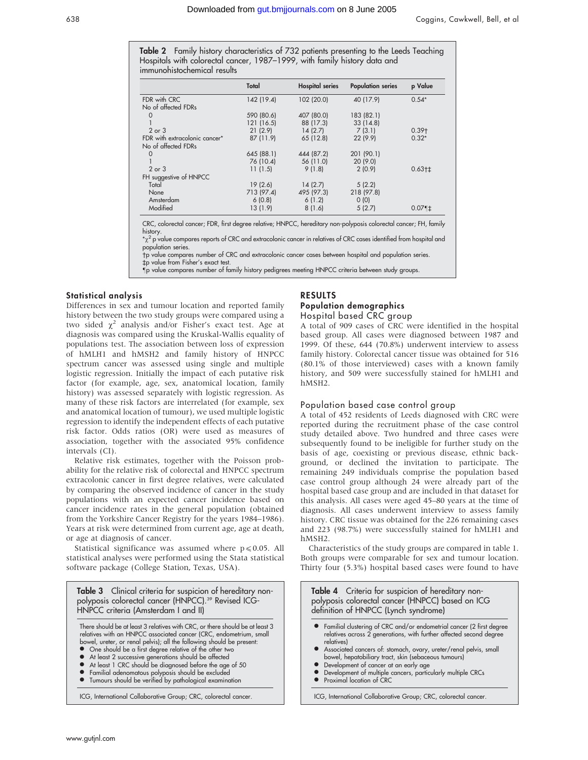**Table 2** Family history characteristics of 732 patients presenting to the Leeds Teaching Hospitals with colorectal cancer, 1987–1999, with family history data and immunohistochemical results

|                               | Total      | <b>Hospital series</b> | <b>Population series</b> | p Value    |
|-------------------------------|------------|------------------------|--------------------------|------------|
| FDR with CRC                  | 142 (19.4) | 102 (20.0)             | 40 (17.9)                | $0.54*$    |
| No of affected FDRs           |            |                        |                          |            |
| $\Omega$                      | 590 (80.6) | 407 (80.0)             | 183 (82.1)               |            |
|                               | 121 (16.5) | 88 (17.3)              | 33(14.8)                 |            |
| $2$ or $3$                    | 21(2.9)    | 14(2.7)                | 7(3.1)                   | $0.39+$    |
| FDR with extracolonic cancer* | 87 (11.9)  | 65 (12.8)              | 22 (9.9)                 | $0.32*$    |
| No of affected FDRs           |            |                        |                          |            |
| $\Omega$                      | 645 (88.1) | 444 (87.2)             | 201 (90.1)               |            |
|                               | 76 (10.4)  | 56 (11.0)              | 20(9.0)                  |            |
| $2$ or $3$                    | 11(1.5)    | 9(1.8)                 | 2(0.9)                   | $0.63 + 1$ |
| FH suggestive of HNPCC        |            |                        |                          |            |
| Total                         | 19(2.6)    | 14(2.7)                | 5(2.2)                   |            |
| None                          | 713 (97.4) | 495 (97.3)             | 218 (97.8)               |            |
| Amsterdam                     | 6(0.8)     | 6(1.2)                 | 0(0)                     |            |
| Modified                      | 13(1.9)    | 8(1.6)                 | 5(2.7)                   | $0.07$ 1   |

CRC, colorectal cancer; FDR, first degree relative; HNPCC, hereditary non-polyposis colorectal cancer; FH, family history.

 $^*\chi^2$  p value compares reports of CRC and extracolonic cancer in relatives of CRC cases identified from hospital and population series.

p value compares number of CRC and extracolonic cancer cases between hospital and population series. tp value from Fisher's exact test.

-p value compares number of family history pedigrees meeting HNPCC criteria between study groups.

## Statistical analysis

Differences in sex and tumour location and reported family history between the two study groups were compared using a two sided  $\chi^2$  analysis and/or Fisher's exact test. Age at diagnosis was compared using the Kruskal-Wallis equality of populations test. The association between loss of expression of hMLH1 and hMSH2 and family history of HNPCC spectrum cancer was assessed using single and multiple logistic regression. Initially the impact of each putative risk factor (for example, age, sex, anatomical location, family history) was assessed separately with logistic regression. As many of these risk factors are interrelated (for example, sex and anatomical location of tumour), we used multiple logistic regression to identify the independent effects of each putative risk factor. Odds ratios (OR) were used as measures of association, together with the associated 95% confidence intervals (CI).

Relative risk estimates, together with the Poisson probability for the relative risk of colorectal and HNPCC spectrum extracolonic cancer in first degree relatives, were calculated by comparing the observed incidence of cancer in the study populations with an expected cancer incidence based on cancer incidence rates in the general population (obtained from the Yorkshire Cancer Registry for the years 1984–1986). Years at risk were determined from current age, age at death, or age at diagnosis of cancer.

Statistical significance was assumed where  $p \le 0.05$ . All statistical analyses were performed using the Stata statistical software package (College Station, Texas, USA).

Table 3 Clinical criteria for suspicion of hereditary nonpolyposis colorectal cancer (HNPCC).<sup>39</sup> Revised ICG-HNPCC criteria (Amsterdam I and II) There should be at least 3 relatives with CRC, or there should be at least 3 relatives with an HNPCC associated cancer (CRC, endometrium, small bowel, ureter, or renal pelvis); all the following should be present: One should be a first degree relative of the other two • At least 2 successive generations should be affected

- 
- At least 1 CRC should be diagnosed before the age of 50
- Familial adenomatous polyposis should be excluded **•** Tumours should be verified by pathological examination

ICG, International Collaborative Group; CRC, colorectal cancer.

## RESULTS

## Population demographics

Hospital based CRC group

A total of 909 cases of CRC were identified in the hospital based group. All cases were diagnosed between 1987 and 1999. Of these, 644 (70.8%) underwent interview to assess family history. Colorectal cancer tissue was obtained for 516 (80.1% of those interviewed) cases with a known family history, and 509 were successfully stained for hMLH1 and hMSH2.

## Population based case control group

A total of 452 residents of Leeds diagnosed with CRC were reported during the recruitment phase of the case control study detailed above. Two hundred and three cases were subsequently found to be ineligible for further study on the basis of age, coexisting or previous disease, ethnic background, or declined the invitation to participate. The remaining 249 individuals comprise the population based case control group although 24 were already part of the hospital based case group and are included in that dataset for this analysis. All cases were aged 45–80 years at the time of diagnosis. All cases underwent interview to assess family history. CRC tissue was obtained for the 226 remaining cases and 223 (98.7%) were successfully stained for hMLH1 and hMSH2.

Characteristics of the study groups are compared in table 1. Both groups were comparable for sex and tumour location. Thirty four (5.3%) hospital based cases were found to have

Table 4 Criteria for suspicion of hereditary nonpolyposis colorectal cancer (HNPCC) based on ICG definition of HNPCC (Lynch syndrome) Familial clustering of CRC and/or endometrial cancer (2 first degree relatives across 2 generations, with further affected second degree relatives) l Associated cancers of: stomach, ovary, ureter/renal pelvis, small

- bowel, hepatobiliary tract, skin (sebaceous tumours)
- Development of cancer at an early age
- Development of multiple cancers, particularly multiple CRCs<br>• Proximal location of CRC Proximal location of CRC

ICG, International Collaborative Group; CRC, colorectal cancer.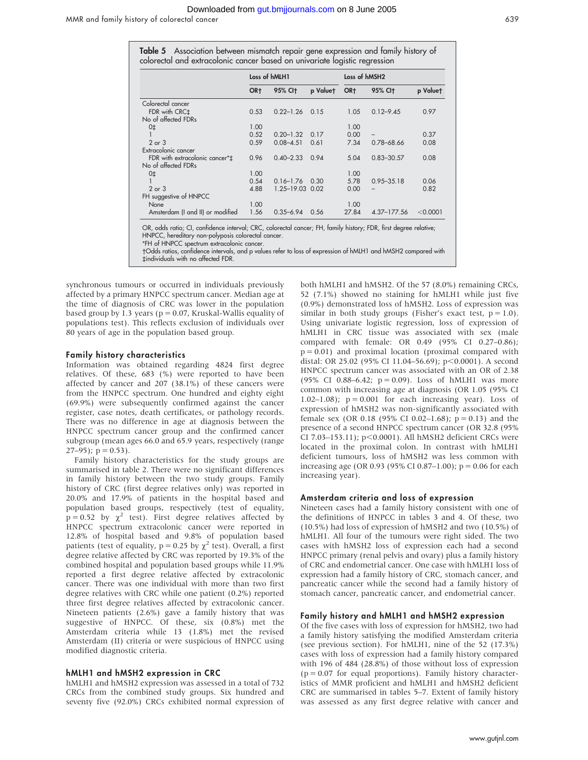#### Downloaded from [gut.bmjjournals.com](http://gut.bmjjournals.com) on 8 June 2005

MMR and family history of colorectal cancer 639

|                                                                            |  |  |  | Table 5 Association between mismatch repair gene expression and family history of |
|----------------------------------------------------------------------------|--|--|--|-----------------------------------------------------------------------------------|
| colorectal and extracolonic cancer based on univariate logistic regression |  |  |  |                                                                                   |

|                                  |                 |                     |          | ັ                         | ັ                        |          |
|----------------------------------|-----------------|---------------------|----------|---------------------------|--------------------------|----------|
|                                  | Loss of hMLH1   |                     |          | Loss of hMSH <sub>2</sub> |                          |          |
|                                  | OR <sub>†</sub> | 95% CI <sub>t</sub> | p Valuet | OR <sub>t</sub>           | 95% CI <sub>t</sub>      | p Valuet |
| Colorectal cancer                |                 |                     |          |                           |                          |          |
| FDR with CRC <sup>+</sup>        | 0.53            | $0.22 - 1.26$       | 0.15     | 1.05                      | $0.12 - 9.45$            | 0.97     |
| No of affected FDRs              |                 |                     |          |                           |                          |          |
| 0 <sup>†</sup>                   | 1.00            |                     |          | 1.00                      |                          |          |
| 1                                | 0.52            | $0.20 - 1.32$       | 0.17     | 0.00                      | $\overline{\phantom{0}}$ | 0.37     |
| $2$ or $3$                       | 0.59            | $0.08 - 4.51$       | 0.61     | 7.34                      | $0.78 - 68.66$           | 0.08     |
| Extracolonic cancer              |                 |                     |          |                           |                          |          |
| FDR with extracolonic cancer*‡   | 0.96            | $0.40 - 2.33$       | 0.94     | 5.04                      | $0.83 - 30.57$           | 0.08     |
| No of affected FDRs              |                 |                     |          |                           |                          |          |
| 0 <sup>†</sup>                   | 1.00            |                     |          | 1.00                      |                          |          |
|                                  | 0.54            | $0.16 - 1.76$       | 0.30     | 5.78                      | $0.95 - 35.18$           | 0.06     |
| $2$ or $3$                       | 4.88            | 1.25-19.03 0.02     |          | 0.00                      |                          | 0.82     |
| FH suggestive of HNPCC           |                 |                     |          |                           |                          |          |
| None                             | 1.00            |                     |          | 1.00                      |                          |          |
| Amsterdam (I and II) or modified | 1.56            | $0.35 - 6.94$       | 0.56     | 27.84                     | $4.37 - 177.56$          | < 0.0001 |

OR, odds ratio; CI, confidence interval; CRC, colorectal cancer; FH, family history; FDR, first degree relative; HNPCC, hereditary non-polyposis colorectal cancer.

\*FH of HNPCC spectrum extracolonic cancer.

Odds ratios, confidence intervals, and p values refer to loss of expression of hMLH1 and hMSH2 compared with `individuals with no affected FDR.

synchronous tumours or occurred in individuals previously affected by a primary HNPCC spectrum cancer. Median age at the time of diagnosis of CRC was lower in the population based group by 1.3 years ( $p = 0.07$ , Kruskal-Wallis equality of populations test). This reflects exclusion of individuals over 80 years of age in the population based group.

#### Family history characteristics

Information was obtained regarding 4824 first degree relatives. Of these, 683 (%) were reported to have been affected by cancer and 207 (38.1%) of these cancers were from the HNPCC spectrum. One hundred and eighty eight (69.9%) were subsequently confirmed against the cancer register, case notes, death certificates, or pathology records. There was no difference in age at diagnosis between the HNPCC spectrum cancer group and the confirmed cancer subgroup (mean ages 66.0 and 65.9 years, respectively (range  $27-95$ ;  $p = 0.53$ ).

Family history characteristics for the study groups are summarised in table 2. There were no significant differences in family history between the two study groups. Family history of CRC (first degree relatives only) was reported in 20.0% and 17.9% of patients in the hospital based and population based groups, respectively (test of equality,  $\bar{p} = 0.52$  by  $\chi^2$  test). First degree relatives affected by HNPCC spectrum extracolonic cancer were reported in 12.8% of hospital based and 9.8% of population based patients (test of equality,  $p = 0.25$  by  $\chi^2$  test). Overall, a first degree relative affected by CRC was reported by 19.3% of the combined hospital and population based groups while 11.9% reported a first degree relative affected by extracolonic cancer. There was one individual with more than two first degree relatives with CRC while one patient (0.2%) reported three first degree relatives affected by extracolonic cancer. Nineteen patients (2.6%) gave a family history that was suggestive of HNPCC. Of these, six (0.8%) met the Amsterdam criteria while 13 (1.8%) met the revised Amsterdam (II) criteria or were suspicious of HNPCC using modified diagnostic criteria.

### hMLH1 and hMSH2 expression in CRC

hMLH1 and hMSH2 expression was assessed in a total of 732 CRCs from the combined study groups. Six hundred and seventy five (92.0%) CRCs exhibited normal expression of both hMLH1 and hMSH2. Of the 57 (8.0%) remaining CRCs, 52 (7.1%) showed no staining for hMLH1 while just five (0.9%) demonstrated loss of hMSH2. Loss of expression was similar in both study groups (Fisher's exact test,  $p = 1.0$ ). Using univariate logistic regression, loss of expression of hMLH1 in CRC tissue was associated with sex (male compared with female: OR 0.49 (95% CI 0.27–0.86);  $p = 0.01$ ) and proximal location (proximal compared with distal: OR 25.02 (95% CI 11.04–56.69);  $p<0.0001$ ). A second HNPCC spectrum cancer was associated with an OR of 2.38 (95% CI 0.88–6.42;  $p = 0.09$ ). Loss of hMLH1 was more common with increasing age at diagnosis (OR 1.05 (95% CI 1.02–1.08);  $p = 0.001$  for each increasing year). Loss of expression of hMSH2 was non-significantly associated with female sex (OR 0.18 (95% CI 0.02–1.68);  $p = 0.13$ ) and the presence of a second HNPCC spectrum cancer (OR 32.8 (95% CI 7.03-153.11); p<0.0001). All hMSH2 deficient CRCs were located in the proximal colon. In contrast with hMLH1 deficient tumours, loss of hMSH2 was less common with increasing age (OR 0.93 (95% CI 0.87–1.00);  $p = 0.06$  for each increasing year).

#### Amsterdam criteria and loss of expression

Nineteen cases had a family history consistent with one of the definitions of HNPCC in tables 3 and 4. Of these, two (10.5%) had loss of expression of hMSH2 and two (10.5%) of hMLH1. All four of the tumours were right sided. The two cases with hMSH2 loss of expression each had a second HNPCC primary (renal pelvis and ovary) plus a family history of CRC and endometrial cancer. One case with hMLH1 loss of expression had a family history of CRC, stomach cancer, and pancreatic cancer while the second had a family history of stomach cancer, pancreatic cancer, and endometrial cancer.

## Family history and hMLH1 and hMSH2 expression

Of the five cases with loss of expression for hMSH2, two had a family history satisfying the modified Amsterdam criteria (see previous section). For hMLH1, nine of the 52 (17.3%) cases with loss of expression had a family history compared with 196 of 484 (28.8%) of those without loss of expression  $(p = 0.07)$  for equal proportions). Family history characteristics of MMR proficient and hMLH1 and hMSH2 deficient CRC are summarised in tables 5–7. Extent of family history was assessed as any first degree relative with cancer and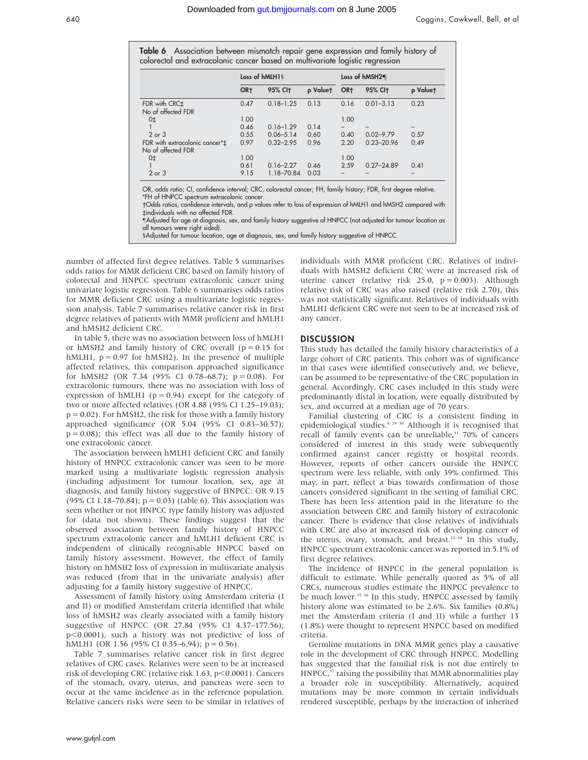Table 6 Association between mismatch repair gene expression and family history of colorectal and extracolonic cancer based on multivariate loaistic rearessio

|                                                      | Loss of hMLH1§  |                     |          | Loss of hMSH2¶  |                     |          |
|------------------------------------------------------|-----------------|---------------------|----------|-----------------|---------------------|----------|
|                                                      | OR <sub>†</sub> | 95% CI <sub>t</sub> | p Valuet | OR <sub>†</sub> | 95% CI <sub>t</sub> | p Valuet |
| FDR with CRC <sup>+</sup>                            | 0.47            | $0.18 - 1.25$       | 0.13     | 0.16            | $0.01 - 3.13$       | 0.23     |
| No of affected FDR                                   |                 |                     |          |                 |                     |          |
| 0 <sub>‡</sub>                                       | 1.00            |                     |          | 1.00            |                     |          |
|                                                      | 0.46            | $0.16 - 1.29$       | 0.14     |                 |                     |          |
| $2$ or $3$                                           | 0.55            | $0.06 - 5.14$       | 0.60     | 0.40            | $0.02 - 9.79$       | 0.57     |
| FDR with extracolonic cancer*‡<br>No of affected FDR | 0.97            | $0.32 - 2.95$       | 0.96     | 2.20            | $0.23 - 20.96$      | 0.49     |
| 0 <sup>‡</sup>                                       | 1.00            |                     |          | 1.00            |                     |          |
|                                                      | 0.61            | $0.16 - 2.27$       | 0.46     | 2.59            | $0.27 - 24.89$      | 0.41     |
| 2 or 3                                               | 9.15            | 1.18-70.84          | 0.03     |                 |                     |          |

Odds ratios, confidence intervals, and p values refer to loss of expression of hMLH1 and hMSH2 compared with `individuals with no affected FDR.

-Adjusted for age at diagnosis, sex, and family history suggestive of HNPCC (not adjusted for tumour location as all tumours were right sided).

§Adjusted for tumour location, age at diagnosis, sex, and family history suggestive of HNPCC.

number of affected first degree relatives. Table 5 summarises odds ratios for MMR deficient CRC based on family history of colorectal and HNPCC spectrum extracolonic cancer using univariate logistic regression. Table 6 summarises odds ratios for MMR deficient CRC using a multivariate logistic regression analysis. Table 7 summarises relative cancer risk in first degree relatives of patients with MMR proficient and hMLH1 and hMSH2 deficient CRC.

In table 5, there was no association between loss of hMLH1 or hMSH2 and family history of CRC overall ( $p = 0.15$  for hMLH1,  $p = 0.97$  for hMSH2). In the presence of multiple affected relatives, this comparison approached significance for hMSH2 (OR 7.34 (95% CI 0.78–68.7);  $p = 0.08$ ). For extracolonic tumours, there was no association with loss of expression of hMLH1 ( $p = 0.94$ ) except for the category of two or more affected relatives (OR 4.88 (95% CI 1.25–19.03);  $p = 0.02$ ). For hMSH2, the risk for those with a family history approached significance (OR 5.04 (95% CI 0.83–30.57);  $p = 0.08$ ); this effect was all due to the family history of one extracolonic cancer.

The association between hMLH1 deficient CRC and family history of HNPCC extracolonic cancer was seen to be more marked using a multivariate logistic regression analysis (including adjustment for tumour location, sex, age at diagnosis, and family history suggestive of HNPCC: OR 9.15 (95% CI 1.18–70.84);  $p = 0.03$ ) (table 6). This association was seen whether or not HNPCC type family history was adjusted for (data not shown). These findings suggest that the observed association between family history of HNPCC spectrum extracolonic cancer and hMLH1 deficient CRC is independent of clinically recognisable HNPCC based on family history assessment. However, the effect of family history on hMSH2 loss of expression in multivariate analysis was reduced (from that in the univariate analysis) after adjusting for a family history suggestive of HNPCC.

Assessment of family history using Amsterdam criteria (I and II) or modified Amsterdam criteria identified that while loss of hMSH2 was clearly associated with a family history suggestive of HNPCC (OR 27.84 (95% CI 4.37–177.56);  $p<0.0001$ ), such a history was not predictive of loss of hMLH1 (OR 1.56 (95% CI 0.35–6.94);  $p = 0.56$ ).

Table 7 summarises relative cancer risk in first degree relatives of CRC cases. Relatives were seen to be at increased risk of developing CRC (relative risk 1.63,  $p$ <0.0001). Cancers of the stomach, ovary, uterus, and pancreas were seen to occur at the same incidence as in the reference population. Relative cancers risks were seen to be similar in relatives of individuals with MMR proficient CRC. Relatives of individuals with hMSH2 deficient CRC were at increased risk of uterine cancer (relative risk 25.0,  $p = 0.003$ ). Although relative risk of CRC was also raised (relative risk 2.70), this was not statistically significant. Relatives of individuals with hMLH1 deficient CRC were not seen to be at increased risk of any cancer.

#### DISCUSSION

This study has detailed the family history characteristics of a large cohort of CRC patients. This cohort was of significance in that cases were identified consecutively and, we believe, can be assumed to be representative of the CRC population in general. Accordingly, CRC cases included in this study were predominantly distal in location, were equally distributed by sex, and occurred at a median age of 70 years.

Familial clustering of CRC is a consistent finding in epidemiological studies.4 29 30 Although it is recognised that recall of family events can be unreliable,<sup>31</sup> 70% of cancers considered of interest in this study were subsequently confirmed against cancer registry or hospital records. However, reports of other cancers outside the HNPCC spectrum were less reliable, with only 39% confirmed. This may, in part, reflect a bias towards confirmation of those cancers considered significant in the setting of familial CRC. There has been less attention paid in the literature to the association between CRC and family history of extracolonic cancer. There is evidence that close relatives of individuals with CRC are also at increased risk of developing cancer of the uterus, ovary, stomach, and breast.<sup>32-34</sup> In this study, HNPCC spectrum extracolonic cancer was reported in 5.1% of first degree relatives.

The incidence of HNPCC in the general population is difficult to estimate. While generally quoted as 5% of all CRCs, numerous studies estimate the HNPCC prevalence to be much lower.<sup>35</sup> <sup>36</sup> In this study, HNPCC assessed by family history alone was estimated to be 2.6%. Six families (0.8%) met the Amsterdam criteria (I and II) while a further 13 (1.8%) were thought to represent HNPCC based on modified criteria.

Germline mutations in DNA MMR genes play a causative role in the development of CRC through HNPCC. Modelling has suggested that the familial risk is not due entirely to HNPCC,<sup>37</sup> raising the possibility that MMR abnormalities play a broader role in susceptibility. Alternatively, acquired mutations may be more common in certain individuals rendered susceptible, perhaps by the interaction of inherited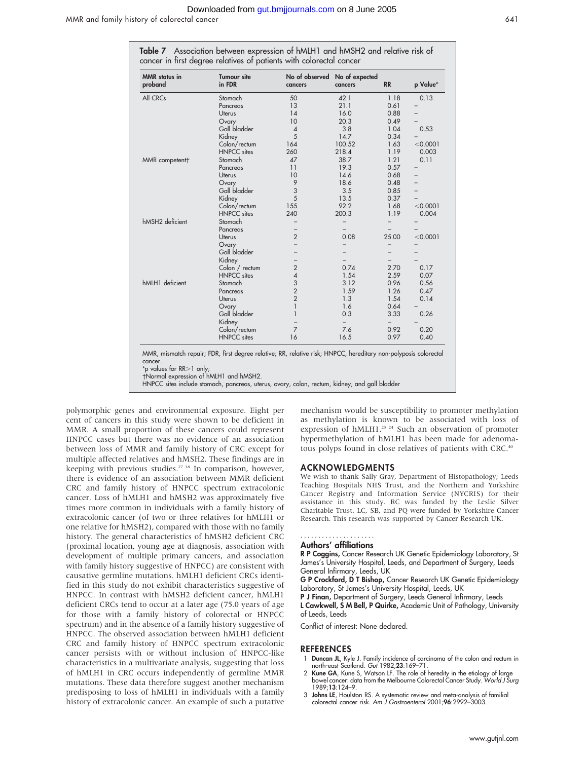| <b>MMR</b> status in<br>proband | <b>Tumour site</b><br>in FDR | No of observed<br>cancers | No of expected<br>cancers | <b>RR</b>                | p Value*                 |
|---------------------------------|------------------------------|---------------------------|---------------------------|--------------------------|--------------------------|
| All CRCs                        | Stomach                      | 50                        | 42.1                      | 1.18                     | 0.13                     |
|                                 | Pancreas                     | 13                        | 21.1                      | 0.61                     |                          |
|                                 | Uterus                       | 14                        | 16.0                      | 0.88                     |                          |
|                                 | Ovary                        | 10                        | 20.3                      | 0.49                     |                          |
|                                 | Gall bladder                 | $\overline{4}$            | 3.8                       | 1.04                     | 0.53                     |
|                                 | Kidney                       | 5                         | 14.7                      | 0.34                     |                          |
|                                 | Colon/rectum                 | 164                       | 100.52                    | 1.63                     | < 0.0001                 |
|                                 | <b>HNPCC</b> sites           | 260                       | 218.4                     | 1.19                     | 0.003                    |
| MMR competent†                  | Stomach                      | 47                        | 38.7                      | 1.21                     | 0.11                     |
|                                 | Pancreas                     | 11                        | 19.3                      | 0.57                     |                          |
|                                 | <b>Uterus</b>                | 10                        | 14.6                      | 0.68                     |                          |
|                                 | Ovary                        | 9                         | 18.6                      | 0.48                     | $\overline{\phantom{0}}$ |
|                                 | Gall bladder                 | 3                         | 3.5                       | 0.85                     |                          |
|                                 | Kidney                       | 5                         | 13.5                      | 0.37                     | $\overline{\phantom{0}}$ |
|                                 | Colon/rectum                 | 155                       | 92.2                      | 1.68                     | < 0.0001                 |
|                                 | <b>HNPCC</b> sites           | 240                       | 200.3                     | 1.19                     | 0.004                    |
| hMSH2 deficient                 | Stomach                      |                           |                           | $\overline{\phantom{0}}$ |                          |
|                                 | Pancreas                     | $\overline{\phantom{0}}$  |                           |                          |                          |
|                                 | Uterus                       | $\overline{2}$            | 0.08                      | 25.00                    | < 0.0001                 |
|                                 | Ovary                        | $\overline{\phantom{0}}$  | $\overline{\phantom{0}}$  | $\overline{\phantom{0}}$ |                          |
|                                 | Gall bladder                 |                           |                           |                          |                          |
|                                 | Kidney                       | $\overline{\phantom{0}}$  |                           |                          |                          |
|                                 | Colon / rectum               | $\overline{2}$            | 0.74                      | 2.70                     | 0.17                     |
|                                 | <b>HNPCC</b> sites           | $\overline{\mathcal{A}}$  | 1.54                      | 2.59                     | 0.07                     |
| hMLH1 deficient                 | Stomach                      | 3                         | 3.12                      | 0.96                     | 0.56                     |
|                                 | Pancreas                     | $\overline{2}$            | 1.59                      | 1.26                     | 0.47                     |
|                                 | Uterus                       | $\overline{2}$            | 1.3                       | 1.54                     | 0.14                     |
|                                 | Ovary                        | $\mathbf{1}$              | 1.6                       | 0.64                     |                          |
|                                 | Gall bladder                 | $\mathbf{1}$              | 0.3                       | 3.33                     | 0.26                     |
|                                 | Kidney                       | $\overline{\phantom{0}}$  |                           |                          |                          |
|                                 | Colon/rectum                 | $\overline{7}$            | 7.6                       | 0.92                     | 0.20                     |
|                                 | <b>HNPCC</b> sites           | 16                        | 16.5                      | 0.97                     | 0.40                     |
|                                 |                              |                           |                           |                          |                          |

HNPCC sites include stomach, pancreas, uterus, ovary, colon, rectum, kidney, and gall bladder

polymorphic genes and environmental exposure. Eight per cent of cancers in this study were shown to be deficient in MMR. A small proportion of these cancers could represent HNPCC cases but there was no evidence of an association between loss of MMR and family history of CRC except for multiple affected relatives and hMSH2. These findings are in keeping with previous studies.<sup> $27,38$ </sup> In comparison, however, there is evidence of an association between MMR deficient CRC and family history of HNPCC spectrum extracolonic cancer. Loss of hMLH1 and hMSH2 was approximately five times more common in individuals with a family history of extracolonic cancer (of two or three relatives for hMLH1 or one relative for hMSH2), compared with those with no family history. The general characteristics of hMSH2 deficient CRC (proximal location, young age at diagnosis, association with development of multiple primary cancers, and association with family history suggestive of HNPCC) are consistent with causative germline mutations. hMLH1 deficient CRCs identified in this study do not exhibit characteristics suggestive of HNPCC. In contrast with hMSH2 deficient cancer, hMLH1 deficient CRCs tend to occur at a later age (75.0 years of age for those with a family history of colorectal or HNPCC spectrum) and in the absence of a family history suggestive of HNPCC. The observed association between hMLH1 deficient CRC and family history of HNPCC spectrum extracolonic cancer persists with or without inclusion of HNPCC-like characteristics in a multivariate analysis, suggesting that loss of hMLH1 in CRC occurs independently of germline MMR mutations. These data therefore suggest another mechanism predisposing to loss of hMLH1 in individuals with a family history of extracolonic cancer. An example of such a putative

mechanism would be susceptibility to promoter methylation as methylation is known to be associated with loss of expression of  $h$ MLH1.<sup>23 24</sup> Such an observation of promoter hypermethylation of hMLH1 has been made for adenomatous polyps found in close relatives of patients with CRC.<sup>40</sup>

#### ACKNOWLEDGMENTS

We wish to thank Sally Gray, Department of Histopathology; Leeds Teaching Hospitals NHS Trust, and the Northern and Yorkshire Cancer Registry and Information Service (NYCRIS) for their assistance in this study. RC was funded by the Leslie Silver Charitable Trust. LC, SB, and PQ were funded by Yorkshire Cancer Research. This research was supported by Cancer Research UK.

#### Authors' affiliations .....................

R P Coggins, Cancer Research UK Genetic Epidemiology Laboratory, St James's University Hospital, Leeds, and Department of Surgery, Leeds

General Infirmary, Leeds, UK G P Crockford, D T Bishop, Cancer Research UK Genetic Epidemiology Laboratory, St James's University Hospital, Leeds, UK

P J Finan, Department of Surgery, Leeds General Infirmary, Leeds

L Cawkwell, S M Bell, P Quirke, Academic Unit of Pathology, University of Leeds, Leeds

Conflict of interest: None declared.

#### REFERENCES

- 1 Duncan JL, Kyle J. Family incidence of carcinoma of the colon and rectum in north-east Scotland. Gut 1982;23:169–71.
- 2 Kune GA, Kune S, Watson LF. The role of heredity in the etiology of large bowel cancer: data from the Melbourne Colorectal Cancer Study. World J Surg 1989;13:124–9.
- 3 Johns LE, Houlston RS. A systematic review and meta-analysis of familial colorectal cancer risk. Am J Gastroenterol 2001;96:2992–3003.